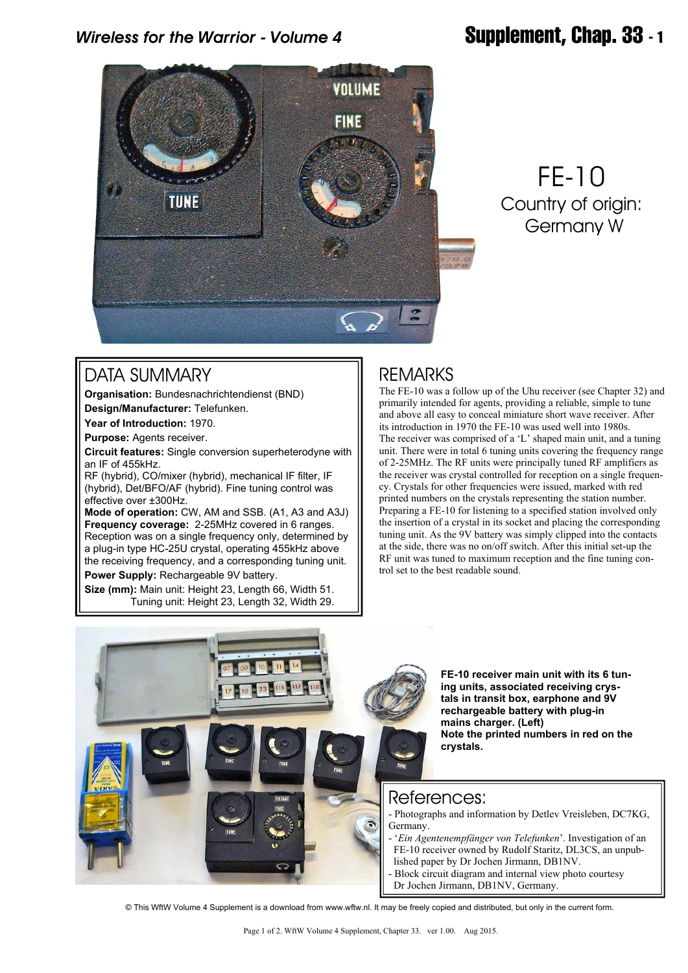### *Wireless for the Warrior - Volume 4* **Supplement, Chap. 33 - 1**



# FE-10 Country of origin: Germany W

#### DATA SUMMARY

**Organisation:** Bundesnachrichtendienst (BND) **Design/Manufacturer:** Telefunken.

**Year of Introduction:** 1970.

**Purpose:** Agents receiver.

**Circuit features:** Single conversion superheterodyne with an IF of 455kHz.

RF (hybrid), CO/mixer (hybrid), mechanical IF filter, IF (hybrid), Det/BFO/AF (hybrid). Fine tuning control was effective over ±300Hz.

**Mode of operation:** CW, AM and SSB. (A1, A3 and A3J) **Frequency coverage:** 2-25MHz covered in 6 ranges. Reception was on a single frequency only, determined by a plug-in type HC-25U crystal, operating 455kHz above the receiving frequency, and a corresponding tuning unit.

**Power Supply:** Rechargeable 9V battery.

**Size (mm):** Main unit: Height 23, Length 66, Width 51. Tuning unit: Height 23, Length 32, Width 29.

### REMARKS

The FE-10 was a follow up of the Uhu receiver (see Chapter 32) and primarily intended for agents, providing a reliable, simple to tune and above all easy to conceal miniature short wave receiver. After its introduction in 1970 the FE-10 was used well into 1980s. The receiver was comprised of a 'L' shaped main unit, and a tuning unit. There were in total 6 tuning units covering the frequency range of 2-25MHz. The RF units were principally tuned RF amplifiers as the receiver was crystal controlled for reception on a single frequency. Crystals for other frequencies were issued, marked with red printed numbers on the crystals representing the station number. Preparing a FE-10 for listening to a specified station involved only the insertion of a crystal in its socket and placing the corresponding tuning unit. As the 9V battery was simply clipped into the contacts at the side, there was no on/off switch. After this initial set-up the RF unit was tuned to maximum reception and the fine tuning control set to the best readable sound.



**FE-10 receiver main unit with its 6 tuning units, associated receiving crystals in transit box, earphone and 9V rechargeable battery with plug-in mains charger. (Left) Note the printed numbers in red on the crystals.**

#### References:

- Photographs and information by Detlev Vreisleben, DC7KG,
- '*Ein Agentenempfänger von Telefunken*'. Investigation of an FE-10 receiver owned by Rudolf Staritz, DL3CS, an unpub lished paper by Dr Jochen Jirmann, DB1NV.
- Block circuit diagram and internal view photo courtesy
- Dr Jochen Jirmann, DB1NV, Germany.

© This WftW Volume 4 Supplement is a download from www.wftw.nl. It may be freely copied and distributed, but only in the current form.